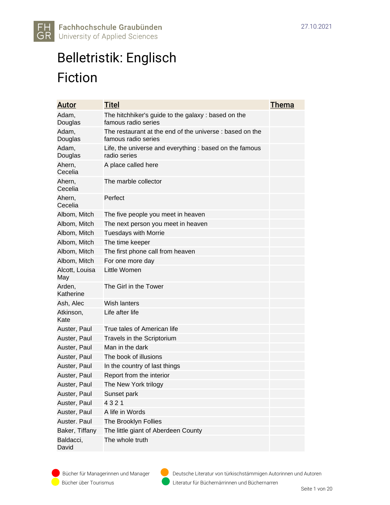

#### Belletristik: Englisch Fiction

| <u>Autor</u>          | <u>Titel</u>                                                                    | <u>Thema</u> |
|-----------------------|---------------------------------------------------------------------------------|--------------|
| Adam,<br>Douglas      | The hitchhiker's guide to the galaxy: based on the<br>famous radio series       |              |
| Adam,<br>Douglas      | The restaurant at the end of the universe : based on the<br>famous radio series |              |
| Adam,<br>Douglas      | Life, the universe and everything : based on the famous<br>radio series         |              |
| Ahern,<br>Cecelia     | A place called here                                                             |              |
| Ahern,<br>Cecelia     | The marble collector                                                            |              |
| Ahern,<br>Cecelia     | Perfect                                                                         |              |
| Albom, Mitch          | The five people you meet in heaven                                              |              |
| Albom, Mitch          | The next person you meet in heaven                                              |              |
| Albom, Mitch          | <b>Tuesdays with Morrie</b>                                                     |              |
| Albom, Mitch          | The time keeper                                                                 |              |
| Albom, Mitch          | The first phone call from heaven                                                |              |
| Albom, Mitch          | For one more day                                                                |              |
| Alcott, Louisa<br>May | Little Women                                                                    |              |
| Arden,<br>Katherine   | The Girl in the Tower                                                           |              |
| Ash, Alec             | Wish lanters                                                                    |              |
| Atkinson,<br>Kate     | Life after life                                                                 |              |
| Auster, Paul          | True tales of American life                                                     |              |
| Auster, Paul          | Travels in the Scriptorium                                                      |              |
| Auster, Paul          | Man in the dark                                                                 |              |
| Auster, Paul          | The book of illusions                                                           |              |
| Auster, Paul          | In the country of last things                                                   |              |
| Auster, Paul          | Report from the interior                                                        |              |
| Auster, Paul          | The New York trilogy                                                            |              |
| Auster, Paul          | Sunset park                                                                     |              |
| Auster, Paul          | 4321                                                                            |              |
| Auster, Paul          | A life in Words                                                                 |              |
| Auster. Paul          | The Brooklyn Follies                                                            |              |
| Baker, Tiffany        | The little giant of Aberdeen County                                             |              |
| Baldacci,<br>David    | The whole truth                                                                 |              |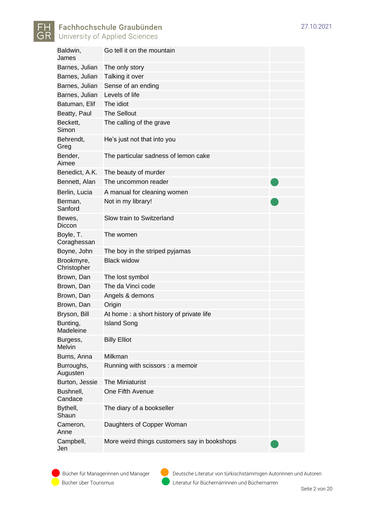

| Go tell it on the mountain                   |  |
|----------------------------------------------|--|
| The only story                               |  |
| Talking it over                              |  |
| Sense of an ending                           |  |
| Levels of life                               |  |
| The idiot                                    |  |
| <b>The Sellout</b>                           |  |
| The calling of the grave                     |  |
| He's just not that into you                  |  |
| The particular sadness of lemon cake         |  |
| The beauty of murder                         |  |
| The uncommon reader                          |  |
| A manual for cleaning women                  |  |
| Not in my library!                           |  |
| Slow train to Switzerland                    |  |
| The women                                    |  |
| The boy in the striped pyjamas               |  |
| Black widow                                  |  |
| The lost symbol                              |  |
| The da Vinci code                            |  |
| Angels & demons                              |  |
| Origin                                       |  |
| At home: a short history of private life     |  |
| <b>Island Song</b>                           |  |
| <b>Billy Elliot</b>                          |  |
| Milkman                                      |  |
| Running with scissors : a memoir             |  |
| The Miniaturist                              |  |
| One Fifth Avenue                             |  |
| The diary of a bookseller                    |  |
| Daughters of Copper Woman                    |  |
| More weird things customers say in bookshops |  |
|                                              |  |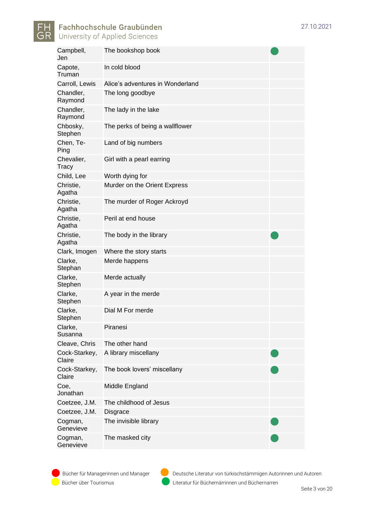

Campbell, Jen The bookshop book Capote, Truman [In cold blood](http://opac.nebis.ch/F/7UU4CFGY23DTGDL93E6XVNHUVMSUPQ2I478EN1MB5D1I9PHGNP-00045?func=full-set-set&set_number=074781&set_entry=000041&format=999) Carroll, Lewis Alice's adventures in Wonderland Chandler, Raymond [The long goodbye](http://opac.nebis.ch/F/7UU4CFGY23DTGDL93E6XVNHUVMSUPQ2I478EN1MB5D1I9PHGNP-03284?func=full-set-set&set_number=074781&set_entry=000020&format=999) Chandler, Raymond [The lady in the lake](http://opac.nebis.ch/F/7UU4CFGY23DTGDL93E6XVNHUVMSUPQ2I478EN1MB5D1I9PHGNP-00051?func=full-set-set&set_number=074781&set_entry=000043&format=999) Chbosky, **Stephen** The perks of being a wallflower Chen, Te-Ping Land of big numbers Chevalier, **Tracy** Girl with a pearl earring Child, Lee Worth dying for Christie, Agatha Murder on the Orient Express Christie, Agatha [The murder of Roger Ackroyd](http://opac.nebis.ch/F/7UU4CFGY23DTGDL93E6XVNHUVMSUPQ2I478EN1MB5D1I9PHGNP-03142?func=full-set-set&set_number=071969&set_entry=000070&format=999) Christie, Agatha [Peril at end house](http://opac.nebis.ch/F/7UU4CFGY23DTGDL93E6XVNHUVMSUPQ2I478EN1MB5D1I9PHGNP-03940?func=full-set-set&set_number=074781&set_entry=000028&format=999) Christie, Agatha The body in the library Clark, Imogen [Where](http://opac.nebis.ch/F/7UU4CFGY23DTGDL93E6XVNHUVMSUPQ2I478EN1MB5D1I9PHGNP-03233?func=full-set-set&set_number=074781&set_entry=000003&format=999) the story starts Clarke, **Stephan** Merde happens Clarke, **Stephen** Merde actually Clarke, **Stephen** A year in the merde Clarke, Stephen Dial M For merde Clarke, Susanna Piranesi Cleave, Chris The other hand Cock-Starkey, Claire A library miscellany Cock-Starkey, Claire The book lovers' miscellany Coe, Jonathan Middle England Coetzee, J.M. [The](http://opac.nebis.ch/F/7UU4CFGY23DTGDL93E6XVNHUVMSUPQ2I478EN1MB5D1I9PHGNP-03962?func=full-set-set&set_number=074781&set_entry=000035&format=999) childhood of Jesus Coetzee, J.M. Disgrace Cogman, **Genevieve** The invisible library Cogman. **Genevieve** The masked city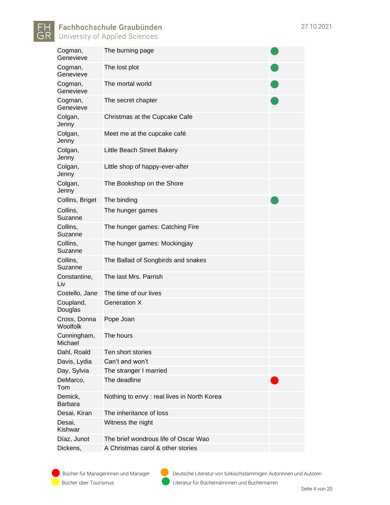

Cogman, **Genevieve** The burning page Cogman, Genevieve The lost plot Cogman, **Genevieve** The mortal world Cogman, **Genevieve** The secret chapter Colgan, Jenny Christmas at the Cupcake Cafe Colgan, Jenny Meet me at the cupcake café Colgan, Jenny Little Beach Street Bakery Colgan, Jenny Little shop of happy-ever-after Colgan, Jenny The Bookshop on the Shore Collins, Briget The binding Collins, **Suzanne** The hunger games Collins, Suzanne The hunger games: Catching Fire Collins, Suzanne The hunger games: Mockingjay Collins, Suzanne The Ballad of Songbirds and snakes Constantine, Liv The last Mrs. Parrish Costello, Jane The time of our lives Coupland, Douglas Generation X Cross, Donna Woolfolk Pope Joan Cunningham, Michael [The hours](http://opac.nebis.ch/F/7UU4CFGY23DTGDL93E6XVNHUVMSUPQ2I478EN1MB5D1I9PHGNP-03919?func=full-set-set&set_number=074781&set_entry=000021&format=999) Dahl, Roald Ten short stories Davis, Lydia Can't and won't Day, Sylvia The stranger I married DeMarco, Tom The deadline Demick, Barbara Nothing to envy : real lives in North Korea Desai, Kiran The inheritance of loss Desai, Kishwar Witness the night Díaz, Junot The brief wondrous life of Oscar Wao Dickens, A Christmas carol & other stories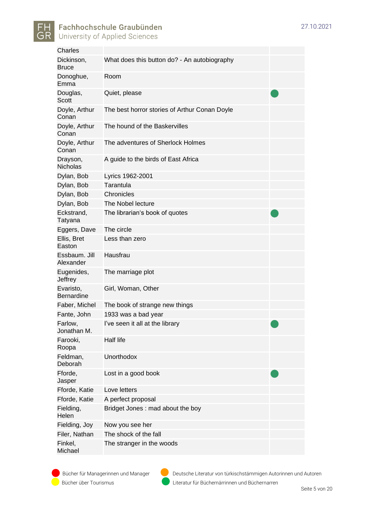

| <b>Charles</b>                 |                                               |  |
|--------------------------------|-----------------------------------------------|--|
| Dickinson,<br><b>Bruce</b>     | What does this button do? - An autobiography  |  |
| Donoghue,<br>Emma              | Room                                          |  |
| Douglas,<br>Scott              | Quiet, please                                 |  |
| Doyle, Arthur<br>Conan         | The best horror stories of Arthur Conan Doyle |  |
| Doyle, Arthur<br>Conan         | The hound of the Baskervilles                 |  |
| Doyle, Arthur<br>Conan         | The adventures of Sherlock Holmes             |  |
| Drayson,<br><b>Nicholas</b>    | A guide to the birds of East Africa           |  |
| Dylan, Bob                     | Lyrics 1962-2001                              |  |
| Dylan, Bob                     | Tarantula                                     |  |
| Dylan, Bob                     | Chronicles                                    |  |
| Dylan, Bob                     | The Nobel lecture                             |  |
| Eckstrand,<br>Tatyana          | The librarian's book of quotes                |  |
| Eggers, Dave                   | The circle                                    |  |
| Ellis, Bret<br>Easton          | Less than zero                                |  |
| Essbaum. Jill<br>Alexander     | Hausfrau                                      |  |
| Eugenides,<br>Jeffrey          | The marriage plot                             |  |
| Evaristo,<br><b>Bernardine</b> | Girl, Woman, Other                            |  |
| Faber, Michel                  | The book of strange new things                |  |
| Fante, John                    | 1933 was a bad year                           |  |
| Farlow,<br>Jonathan M.         | I've seen it all at the library               |  |
| Farooki,<br>Roopa              | Half life                                     |  |
| Feldman,<br>Deborah            | Unorthodox                                    |  |
| Fforde,<br>Jasper              | Lost in a good book                           |  |
| Fforde, Katie                  | Love letters                                  |  |
| Fforde, Katie                  | A perfect proposal                            |  |
| Fielding,<br>Helen             | Bridget Jones: mad about the boy              |  |
| Fielding, Joy                  | Now you see her                               |  |
| Filer, Nathan                  | The shock of the fall                         |  |
| Finkel,<br>Michael             | The stranger in the woods                     |  |

Bücher für Managerinnen und Manager Deutsche Literatur von türkischstämmigen Autorinnen und Autoren Bücher über Tourismus Literatur für Büchernärrinnen und Büchernarren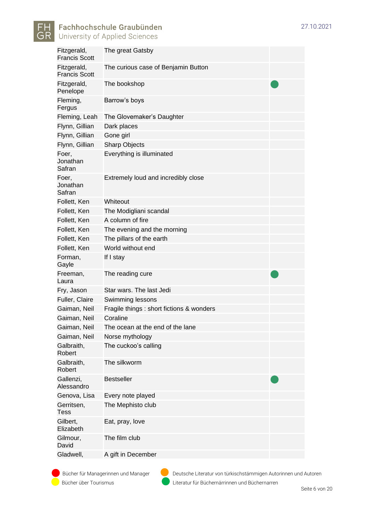



| Fitzgerald,<br><b>Francis Scott</b> | The great Gatsby                          |
|-------------------------------------|-------------------------------------------|
| Fitzgerald,<br><b>Francis Scott</b> | The curious case of Benjamin Button       |
| Fitzgerald,<br>Penelope             | The bookshop                              |
| Fleming,<br>Fergus                  | Barrow's boys                             |
| Fleming, Leah                       | The Glovemaker's Daughter                 |
| Flynn, Gillian                      | Dark places                               |
| Flynn, Gillian                      | Gone girl                                 |
| Flynn, Gillian                      | <b>Sharp Objects</b>                      |
| Foer,<br>Jonathan<br>Safran         | Everything is illuminated                 |
| Foer,<br>Jonathan<br>Safran         | Extremely loud and incredibly close       |
| Follett, Ken                        | Whiteout                                  |
| Follett, Ken                        | The Modigliani scandal                    |
| Follett, Ken                        | A column of fire                          |
| Follett, Ken                        | The evening and the morning               |
| Follett, Ken                        | The pillars of the earth                  |
| Follett, Ken                        | World without end                         |
| Forman,<br>Gayle                    | If I stay                                 |
| Freeman,<br>Laura                   | The reading cure                          |
| Fry, Jason                          | Star wars. The last Jedi                  |
| Fuller, Claire                      | Swimming lessons                          |
| Gaiman, Neil                        | Fragile things : short fictions & wonders |
| Gaiman, Neil                        | Coraline                                  |
| Gaiman, Neil                        | The ocean at the end of the lane          |
| Gaiman, Neil                        | Norse mythology                           |
| Galbraith,<br>Robert                | The cuckoo's calling                      |
| Galbraith,<br>Robert                | The silkworm                              |
| Gallenzi,<br>Alessandro             | <b>Bestseller</b>                         |
| Genova, Lisa                        | Every note played                         |
| Gerritsen,<br><b>Tess</b>           | The Mephisto club                         |
| Gilbert,<br>Elizabeth               | Eat, pray, love                           |
| Gilmour,<br>David                   | The film club                             |
| Gladwell,                           | A gift in December                        |

Bücher über Tourismus Literatur für Büchernärrinnen und Büchernarren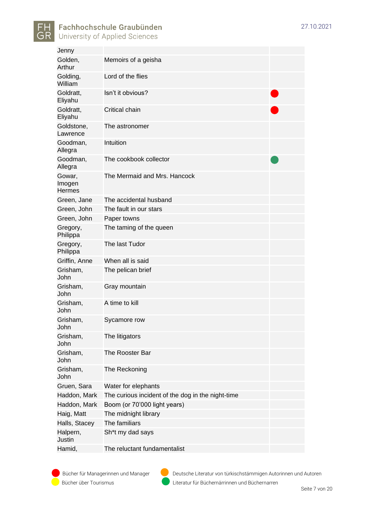

| Jenny                             |                                                   |  |
|-----------------------------------|---------------------------------------------------|--|
| Golden,<br>Arthur                 | Memoirs of a geisha                               |  |
| Golding,<br>William               | Lord of the flies                                 |  |
| Goldratt,<br>Eliyahu              | Isn't it obvious?                                 |  |
| Goldratt,<br>Eliyahu              | Critical chain                                    |  |
| Goldstone,<br>Lawrence            | The astronomer                                    |  |
| Goodman,<br>Allegra               | Intuition                                         |  |
| Goodman,<br>Allegra               | The cookbook collector                            |  |
| Gowar,<br>Imogen<br><b>Hermes</b> | The Mermaid and Mrs. Hancock                      |  |
| Green, Jane                       | The accidental husband                            |  |
| Green, John                       | The fault in our stars                            |  |
| Green, John                       | Paper towns                                       |  |
| Gregory,<br>Philippa              | The taming of the queen                           |  |
| Gregory,<br>Philippa              | The last Tudor                                    |  |
| Griffin, Anne                     | When all is said                                  |  |
| Grisham,<br>John                  | The pelican brief                                 |  |
| Grisham,<br>John                  | Gray mountain                                     |  |
| Grisham,<br>John                  | A time to kill                                    |  |
| Grisham,<br>John                  | Sycamore row                                      |  |
| Grisham,<br>John                  | The litigators                                    |  |
| Grisham,<br>John                  | The Rooster Bar                                   |  |
| Grisham,<br>John                  | The Reckoning                                     |  |
| Gruen, Sara                       | Water for elephants                               |  |
| Haddon, Mark                      | The curious incident of the dog in the night-time |  |
| Haddon, Mark                      | Boom (or 70'000 light years)                      |  |
| Haig, Matt                        | The midnight library                              |  |
| Halls, Stacey                     | The familiars                                     |  |
| Halpern,<br>Justin                | Sh <sup>*</sup> t my dad says                     |  |
| Hamid,                            | The reluctant fundamentalist                      |  |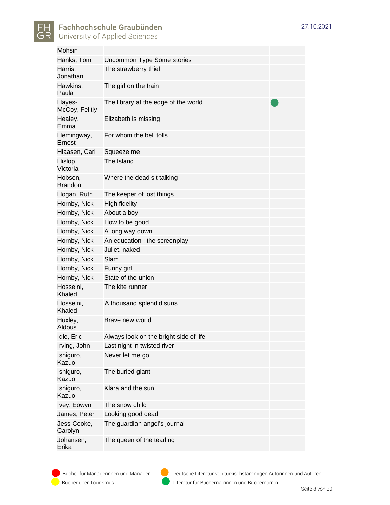

| Mohsin                    |                                        |
|---------------------------|----------------------------------------|
| Hanks, Tom                | <b>Uncommon Type Some stories</b>      |
| Harris,<br>Jonathan       | The strawberry thief                   |
| Hawkins,<br>Paula         | The girl on the train                  |
| Hayes-<br>McCoy, Felitiy  | The library at the edge of the world   |
| Healey,<br>Emma           | Elizabeth is missing                   |
| Hemingway,<br>Ernest      | For whom the bell tolls                |
| Hiaasen, Carl             | Squeeze me                             |
| Hislop,<br>Victoria       | The Island                             |
| Hobson,<br><b>Brandon</b> | Where the dead sit talking             |
| Hogan, Ruth               | The keeper of lost things              |
| Hornby, Nick              | <b>High fidelity</b>                   |
| Hornby, Nick              | About a boy                            |
| Hornby, Nick              | How to be good                         |
| Hornby, Nick              | A long way down                        |
| Hornby, Nick              | An education : the screenplay          |
| Hornby, Nick              | Juliet, naked                          |
| Hornby, Nick              | Slam                                   |
| Hornby, Nick              | Funny girl                             |
| Hornby, Nick              | State of the union                     |
| Hosseini,<br>Khaled       | The kite runner                        |
| Hosseini,<br>Khaled       | A thousand splendid suns               |
| Huxley,<br>Aldous         | Brave new world                        |
| Idle, Eric                | Always look on the bright side of life |
| Irving, John              | Last night in twisted river            |
| Ishiguro,<br>Kazuo        | Never let me go                        |
| Ishiguro,<br>Kazuo        | The buried giant                       |
| Ishiguro,<br>Kazuo        | Klara and the sun                      |
| Ivey, Eowyn               | The snow child                         |
| James, Peter              | Looking good dead                      |
| Jess-Cooke,<br>Carolyn    | The guardian angel's journal           |
| Johansen,<br>Erika        | The queen of the tearling              |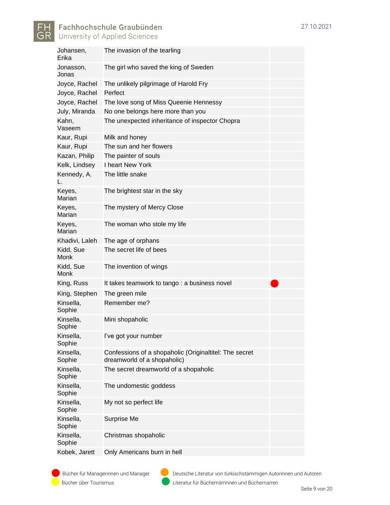

| Johansen,<br>Erika  | The invasion of the tearling                                                          |  |
|---------------------|---------------------------------------------------------------------------------------|--|
| Jonasson,<br>Jonas  | The girl who saved the king of Sweden                                                 |  |
| Joyce, Rachel       | The unlikely pilgrimage of Harold Fry                                                 |  |
| Joyce, Rachel       | Perfect                                                                               |  |
| Joyce, Rachel       | The love song of Miss Queenie Hennessy                                                |  |
| July, Miranda       | No one belongs here more than you                                                     |  |
| Kahn,<br>Vaseem     | The unexpected inheritance of inspector Chopra                                        |  |
| Kaur, Rupi          | Milk and honey                                                                        |  |
| Kaur, Rupi          | The sun and her flowers                                                               |  |
| Kazan, Philip       | The painter of souls                                                                  |  |
| Kelk, Lindsey       | I heart New York                                                                      |  |
| Kennedy, A.         | The little snake                                                                      |  |
| Keyes,<br>Marian    | The brightest star in the sky                                                         |  |
| Keyes,<br>Marian    | The mystery of Mercy Close                                                            |  |
| Keyes,<br>Marian    | The woman who stole my life                                                           |  |
| Khadivi, Laleh      | The age of orphans                                                                    |  |
| Kidd, Sue<br>Monk   | The secret life of bees                                                               |  |
| Kidd, Sue<br>Monk   | The invention of wings                                                                |  |
| King, Russ          | It takes teamwork to tango: a business novel                                          |  |
| King, Stephen       | The green mile                                                                        |  |
| Kinsella,<br>Sophie | Remember me?                                                                          |  |
| Kinsella,<br>Sophie | Mini shopaholic                                                                       |  |
| Kinsella,<br>Sophie | l've got your number                                                                  |  |
| Kinsella,<br>Sophie | Confessions of a shopaholic (Originaltitel: The secret<br>dreamworld of a shopaholic) |  |
| Kinsella,<br>Sophie | The secret dreamworld of a shopaholic                                                 |  |
| Kinsella,<br>Sophie | The undomestic goddess                                                                |  |
| Kinsella,<br>Sophie | My not so perfect life                                                                |  |
| Kinsella,<br>Sophie | Surprise Me                                                                           |  |
| Kinsella,<br>Sophie | Christmas shopaholic                                                                  |  |
| Kobek, Jarett       | Only Americans burn in hell                                                           |  |

Bücher über Tourismus Literatur für Büchernärrinnen und Büchernarren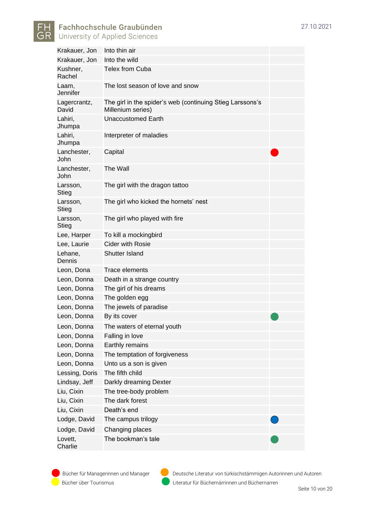

|  | 0.2021 |
|--|--------|

| Krakauer, Jon            | Into thin air                                                                  |
|--------------------------|--------------------------------------------------------------------------------|
| Krakauer, Jon            | Into the wild                                                                  |
| Kushner,<br>Rachel       | <b>Telex from Cuba</b>                                                         |
| Laam,<br>Jennifer        | The lost season of love and snow                                               |
| Lagercrantz,<br>David    | The girl in the spider's web (continuing Stieg Larssons's<br>Millenium series) |
| Lahiri,<br>Jhumpa        | <b>Unaccustomed Earth</b>                                                      |
| Lahiri,<br>Jhumpa        | Interpreter of maladies                                                        |
| Lanchester,<br>John      | Capital                                                                        |
| Lanchester,<br>John      | The Wall                                                                       |
| Larsson,<br>Stieg        | The girl with the dragon tattoo                                                |
| Larsson,<br><b>Stieg</b> | The girl who kicked the hornets' nest                                          |
| Larsson,<br><b>Stieg</b> | The girl who played with fire                                                  |
| Lee, Harper              | To kill a mockingbird                                                          |
| Lee, Laurie              | Cider with Rosie                                                               |
| Lehane,<br>Dennis        | Shutter Island                                                                 |
| Leon, Dona               | <b>Trace elements</b>                                                          |
| Leon, Donna              | Death in a strange country                                                     |
| Leon, Donna              | The girl of his dreams                                                         |
| Leon, Donna              | The golden egg                                                                 |
| Leon, Donna              | The jewels of paradise                                                         |
| Leon, Donna              | By its cover                                                                   |
| Leon, Donna              | The waters of eternal youth                                                    |
| Leon, Donna              | Falling in love                                                                |
| Leon, Donna              | Earthly remains                                                                |
| Leon, Donna              | The temptation of forgiveness                                                  |
| Leon, Donna              | Unto us a son is given                                                         |
| Lessing, Doris           | The fifth child                                                                |
| Lindsay, Jeff            | Darkly dreaming Dexter                                                         |
| Liu, Cixin               | The tree-body problem                                                          |
| Liu, Cixin               | The dark forest                                                                |
| Liu, Cixin               | Death's end                                                                    |
| Lodge, David             | The campus trilogy                                                             |
| Lodge, David             | Changing places                                                                |
| Lovett,<br>Charlie       | The bookman's tale                                                             |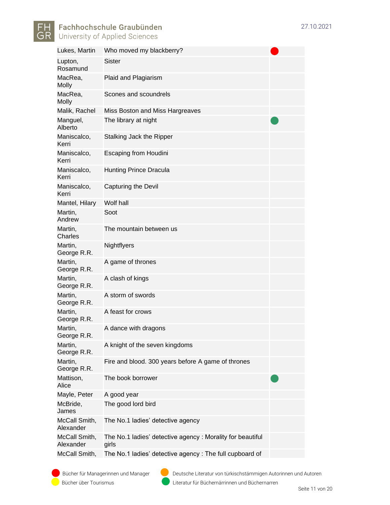

| Lukes, Martin              | Who moved my blackberry?                                           |
|----------------------------|--------------------------------------------------------------------|
| Lupton,<br>Rosamund        | Sister                                                             |
| MacRea,<br><b>Molly</b>    | Plaid and Plagiarism                                               |
| MacRea,<br><b>Molly</b>    | Scones and scoundrels                                              |
| Malik, Rachel              | Miss Boston and Miss Hargreaves                                    |
| Manguel,<br>Alberto        | The library at night                                               |
| Maniscalco,<br>Kerri       | Stalking Jack the Ripper                                           |
| Maniscalco,<br>Kerri       | <b>Escaping from Houdini</b>                                       |
| Maniscalco,<br>Kerri       | <b>Hunting Prince Dracula</b>                                      |
| Maniscalco,<br>Kerri       | Capturing the Devil                                                |
| Mantel, Hilary             | Wolf hall                                                          |
| Martin,<br>Andrew          | Soot                                                               |
| Martin,<br>Charles         | The mountain between us                                            |
| Martin,<br>George R.R.     | Nightflyers                                                        |
| Martin,<br>George R.R.     | A game of thrones                                                  |
| Martin,<br>George R.R.     | A clash of kings                                                   |
| Martin,<br>George R.R.     | A storm of swords                                                  |
| Martin,<br>George R.R.     | A feast for crows                                                  |
| Martin,<br>George R.R.     | A dance with dragons                                               |
| Martin,<br>George R.R.     | A knight of the seven kingdoms                                     |
| Martin,<br>George R.R.     | Fire and blood. 300 years before A game of thrones                 |
| Mattison,<br>Alice         | The book borrower                                                  |
| Mayle, Peter               | A good year                                                        |
| McBride,<br>James          | The good lord bird                                                 |
| McCall Smith,<br>Alexander | The No.1 ladies' detective agency                                  |
| McCall Smith,<br>Alexander | The No.1 ladies' detective agency: Morality for beautiful<br>girls |
| McCall Smith,              | The No.1 ladies' detective agency : The full cupboard of           |

Bücher über Tourismus Literatur für Büchernärrinnen und Büchernarren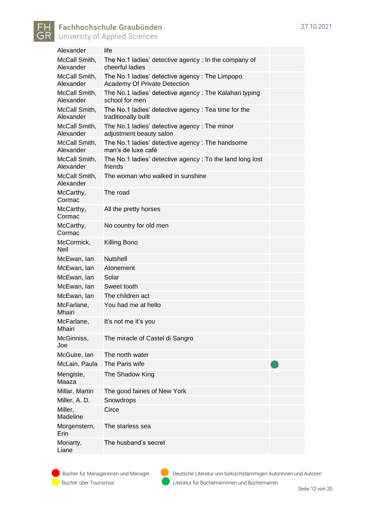

| Alexander                  | life                                                                            |
|----------------------------|---------------------------------------------------------------------------------|
| McCall Smith,<br>Alexander | The No.1 ladies' detective agency : In the company of<br>cheerful ladies        |
| McCall Smith,<br>Alexander | The No.1 ladies' detective agency : The Limpopo<br>Academy Of Private Detection |
| McCall Smith,<br>Alexander | The No.1 ladies' detective agency: The Kalahari typing<br>school for men        |
| McCall Smith,<br>Alexander | The No.1 ladies' detective agency: Tea time for the<br>traditionally built      |
| McCall Smith,<br>Alexander | The No.1 ladies' detective agency: The minor<br>adjustment beauty salon         |
| McCall Smith,<br>Alexander | The No.1 ladies' detective agency: The handsome<br>man's de luxe café           |
| McCall Smith,<br>Alexander | The No.1 ladies' detective agency: To the land long lost<br>friends             |
| McCall Smith,<br>Alexander | The woman who walked in sunshine                                                |
| McCarthy,<br>Cormac        | The road                                                                        |
| McCarthy,<br>Cormac        | All the pretty horses                                                           |
| McCarthy,<br>Cormac        | No country for old men                                                          |
| McCormick,<br><b>Neil</b>  | Killing Bono                                                                    |
| McEwan, lan                | <b>Nutshell</b>                                                                 |
| McEwan, lan                | Atonement                                                                       |
| McEwan, lan                | Solar                                                                           |
| McEwan, lan                | Sweet tooth                                                                     |
| McEwan, lan                | The children act                                                                |
| McFarlane,<br>Mhairi       | You had me at hello                                                             |
| McFarlane,<br>Mhairi       | It's not me it's you                                                            |
| McGinniss,<br>Joe          | The miracle of Castel di Sangro                                                 |
| McGuire, Ian               | The north water                                                                 |
| McLain, Paula              | The Paris wife                                                                  |
| Mengiste,<br>Maaza         | The Shadow King                                                                 |
| Millar, Martin             | The good fairies of New York                                                    |
| Miller, A. D.              | Snowdrops                                                                       |
| Miller,<br>Madeline        | Circe                                                                           |
| Morgenstern,<br>Erin       | The starless sea                                                                |
| Moriarty,<br>Liane         | The husband's secret                                                            |

Bücher über Tourismus Literatur für Büchernärrinnen und Büchernarren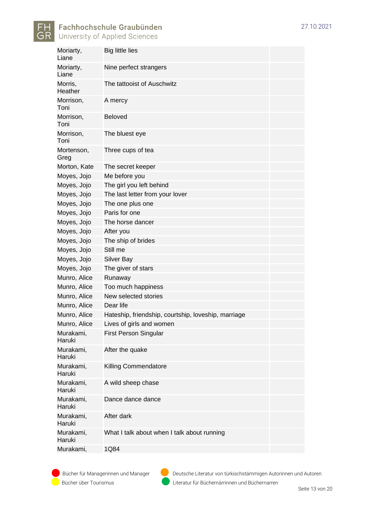

| <b>Big little lies</b>                              |
|-----------------------------------------------------|
| Nine perfect strangers                              |
| The tattooist of Auschwitz                          |
| A mercy                                             |
| <b>Beloved</b>                                      |
| The bluest eye                                      |
| Three cups of tea                                   |
| The secret keeper                                   |
| Me before you                                       |
| The girl you left behind                            |
| The last letter from your lover                     |
| The one plus one                                    |
| Paris for one                                       |
| The horse dancer                                    |
| After you                                           |
| The ship of brides                                  |
| Still me                                            |
| <b>Silver Bay</b>                                   |
| The giver of stars                                  |
| Runaway                                             |
| Too much happiness                                  |
| New selected stories                                |
| Dear life                                           |
| Hateship, friendship, courtship, loveship, marriage |
| Lives of girls and women                            |
| <b>First Person Singular</b>                        |
| After the quake                                     |
| Killing Commendatore                                |
| A wild sheep chase                                  |
| Dance dance dance                                   |
| After dark                                          |
| What I talk about when I talk about running         |
| 1Q84                                                |
|                                                     |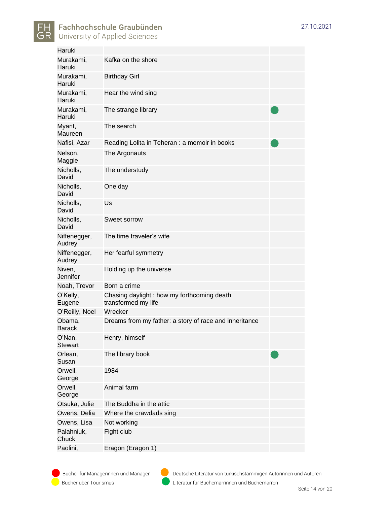

| Haruki                   |                                                                   |  |
|--------------------------|-------------------------------------------------------------------|--|
| Murakami,<br>Haruki      | Kafka on the shore                                                |  |
| Murakami,<br>Haruki      | <b>Birthday Girl</b>                                              |  |
| Murakami,<br>Haruki      | Hear the wind sing                                                |  |
| Murakami,<br>Haruki      | The strange library                                               |  |
| Myant,<br>Maureen        | The search                                                        |  |
| Nafisi, Azar             | Reading Lolita in Teheran : a memoir in books                     |  |
| Nelson,<br>Maggie        | The Argonauts                                                     |  |
| Nicholls,<br>David       | The understudy                                                    |  |
| Nicholls,<br>David       | One day                                                           |  |
| Nicholls,<br>David       | Us                                                                |  |
| Nicholls,<br>David       | Sweet sorrow                                                      |  |
| Niffenegger,<br>Audrey   | The time traveler's wife                                          |  |
| Niffenegger,<br>Audrey   | Her fearful symmetry                                              |  |
| Niven,<br>Jennifer       | Holding up the universe                                           |  |
| Noah, Trevor             | Born a crime                                                      |  |
| O'Kelly,<br>Eugene       | Chasing daylight: how my forthcoming death<br>transformed my life |  |
| O'Reilly, Noel           | Wrecker                                                           |  |
| Obama,<br><b>Barack</b>  | Dreams from my father: a story of race and inheritance            |  |
| O'Nan,<br><b>Stewart</b> | Henry, himself                                                    |  |
| Orlean,<br>Susan         | The library book                                                  |  |
| Orwell,<br>George        | 1984                                                              |  |
| Orwell,<br>George        | Animal farm                                                       |  |
| Otsuka, Julie            | The Buddha in the attic                                           |  |
| Owens, Delia             | Where the crawdads sing                                           |  |
| Owens, Lisa              | Not working                                                       |  |
| Palahniuk,<br>Chuck      | Fight club                                                        |  |
| Paolini,                 | Eragon (Eragon 1)                                                 |  |

Bücher über Tourismus Literatur für Büchernärrinnen und Büchernarren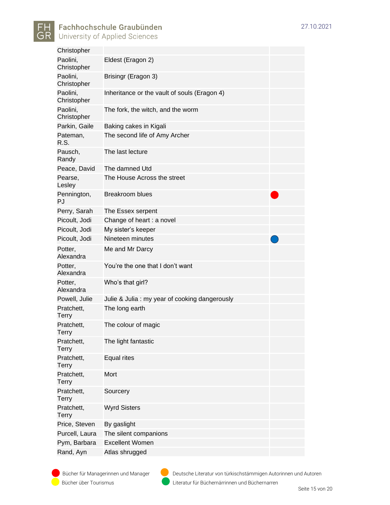

| Christopher                |                                               |
|----------------------------|-----------------------------------------------|
| Paolini,<br>Christopher    | Eldest (Eragon 2)                             |
| Paolini,<br>Christopher    | Brisingr (Eragon 3)                           |
| Paolini,<br>Christopher    | Inheritance or the vault of souls (Eragon 4)  |
| Paolini,<br>Christopher    | The fork, the witch, and the worm             |
| Parkin, Gaile              | Baking cakes in Kigali                        |
| Pateman,<br>R.S.           | The second life of Amy Archer                 |
| Pausch,<br>Randy           | The last lecture                              |
| Peace, David               | The damned Utd                                |
| Pearse,<br>Lesley          | The House Across the street                   |
| Pennington,<br>PJ          | <b>Breakroom blues</b>                        |
| Perry, Sarah               | The Essex serpent                             |
| Picoult, Jodi              | Change of heart : a novel                     |
| Picoult, Jodi              | My sister's keeper                            |
| Picoult, Jodi              | Nineteen minutes                              |
| Potter,<br>Alexandra       | Me and Mr Darcy                               |
| Potter.<br>Alexandra       | You're the one that I don't want              |
| Potter,<br>Alexandra       | Who's that girl?                              |
| Powell, Julie              | Julie & Julia: my year of cooking dangerously |
| Pratchett,<br><b>Terry</b> | The long earth                                |
| Pratchett,<br>Terry        | The colour of magic                           |
| Pratchett,<br><b>Terry</b> | The light fantastic                           |
| Pratchett,<br><b>Terry</b> | Equal rites                                   |
| Pratchett,<br><b>Terry</b> | Mort                                          |
| Pratchett,<br><b>Terry</b> | Sourcery                                      |
| Pratchett,<br><b>Terry</b> | <b>Wyrd Sisters</b>                           |
| Price, Steven              | By gaslight                                   |
| Purcell, Laura             | The silent companions                         |
| Pym, Barbara               | <b>Excellent Women</b>                        |
| Rand, Ayn                  | Atlas shrugged                                |

Bücher über Tourismus Literatur für Büchernärrinnen und Büchernarren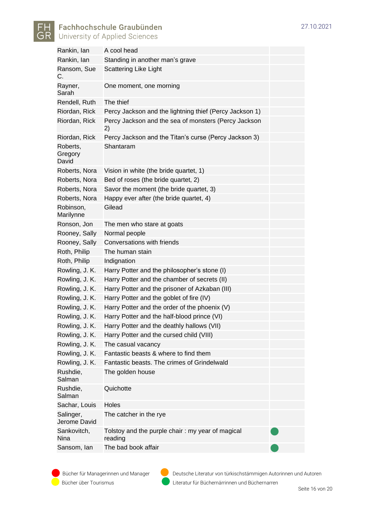

| Rankin, lan                  | A cool head                                                 |  |
|------------------------------|-------------------------------------------------------------|--|
| Rankin, lan                  | Standing in another man's grave                             |  |
| Ransom, Sue<br>C.            | Scattering Like Light                                       |  |
| Rayner,<br>Sarah             | One moment, one morning                                     |  |
| Rendell, Ruth                | The thief                                                   |  |
| Riordan, Rick                | Percy Jackson and the lightning thief (Percy Jackson 1)     |  |
| Riordan, Rick                | Percy Jackson and the sea of monsters (Percy Jackson<br>2)  |  |
| Riordan, Rick                | Percy Jackson and the Titan's curse (Percy Jackson 3)       |  |
| Roberts,<br>Gregory<br>David | Shantaram                                                   |  |
| Roberts, Nora                | Vision in white (the bride quartet, 1)                      |  |
| Roberts, Nora                | Bed of roses (the bride quartet, 2)                         |  |
| Roberts, Nora                | Savor the moment (the bride quartet, 3)                     |  |
| Roberts, Nora                | Happy ever after (the bride quartet, 4)                     |  |
| Robinson,<br>Marilynne       | Gilead                                                      |  |
| Ronson, Jon                  | The men who stare at goats                                  |  |
| Rooney, Sally                | Normal people                                               |  |
| Rooney, Sally                | Conversations with friends                                  |  |
| Roth, Philip                 | The human stain                                             |  |
| Roth, Philip                 | Indignation                                                 |  |
| Rowling, J. K.               | Harry Potter and the philosopher's stone (I)                |  |
| Rowling, J. K.               | Harry Potter and the chamber of secrets (II)                |  |
| Rowling, J. K.               | Harry Potter and the prisoner of Azkaban (III)              |  |
| Rowling, J. K.               | Harry Potter and the goblet of fire (IV)                    |  |
| Rowling, J. K.               | Harry Potter and the order of the phoenix (V)               |  |
| Rowling, J. K.               | Harry Potter and the half-blood prince (VI)                 |  |
| Rowling, J. K.               | Harry Potter and the deathly hallows (VII)                  |  |
| Rowling, J. K.               | Harry Potter and the cursed child (VIII)                    |  |
| Rowling, J. K.               | The casual vacancy                                          |  |
| Rowling, J. K.               | Fantastic beasts & where to find them                       |  |
| Rowling, J. K.               | Fantastic beasts. The crimes of Grindelwald                 |  |
| Rushdie,<br>Salman           | The golden house                                            |  |
| Rushdie,<br>Salman           | Quichotte                                                   |  |
| Sachar, Louis                | Holes                                                       |  |
| Salinger,<br>Jerome David    | The catcher in the rye                                      |  |
| Sankovitch,<br>Nina          | Tolstoy and the purple chair: my year of magical<br>reading |  |
| Sansom, Ian                  | The bad book affair                                         |  |

Bücher über Tourismus Literatur für Büchernärrinnen und Büchernarren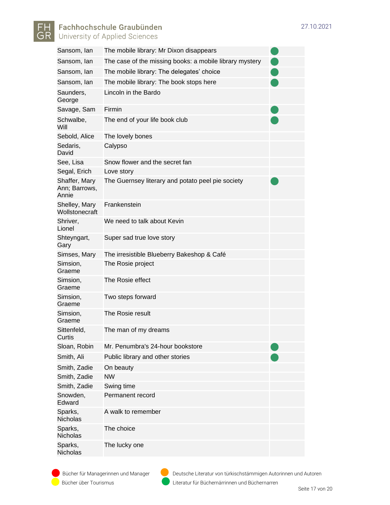



| Sansom, Ian                             | The mobile library: Mr Dixon disappears                 |  |
|-----------------------------------------|---------------------------------------------------------|--|
| Sansom, Ian                             | The case of the missing books: a mobile library mystery |  |
| Sansom, Ian                             | The mobile library: The delegates' choice               |  |
| Sansom, Ian                             | The mobile library: The book stops here                 |  |
| Saunders,<br>George                     | Lincoln in the Bardo                                    |  |
| Savage, Sam                             | Firmin                                                  |  |
| Schwalbe,<br>Will                       | The end of your life book club                          |  |
| Sebold, Alice                           | The lovely bones                                        |  |
| Sedaris,<br>David                       | Calypso                                                 |  |
| See, Lisa                               | Snow flower and the secret fan                          |  |
| Segal, Erich                            | Love story                                              |  |
| Shaffer, Mary<br>Ann; Barrows,<br>Annie | The Guernsey literary and potato peel pie society       |  |
| Shelley, Mary<br>Wollstonecraft         | Frankenstein                                            |  |
| Shriver,<br>Lionel                      | We need to talk about Kevin                             |  |
| Shteyngart,<br>Gary                     | Super sad true love story                               |  |
|                                         |                                                         |  |
| Simses, Mary                            | The irresistible Blueberry Bakeshop & Café              |  |
| Simsion,<br>Graeme                      | The Rosie project                                       |  |
| Simsion,<br>Graeme                      | The Rosie effect                                        |  |
| Simsion,<br>Graeme                      | Two steps forward                                       |  |
| Simsion,<br>Graeme                      | The Rosie result                                        |  |
| Sittenfeld,<br>Curtis                   | The man of my dreams                                    |  |
| Sloan, Robin                            | Mr. Penumbra's 24-hour bookstore                        |  |
| Smith, Ali                              | Public library and other stories                        |  |
| Smith, Zadie                            | On beauty                                               |  |
| Smith, Zadie                            | <b>NW</b>                                               |  |
| Smith, Zadie                            | Swing time                                              |  |
| Snowden,<br>Edward                      | Permanent record                                        |  |
| Sparks,<br><b>Nicholas</b>              | A walk to remember                                      |  |
| Sparks,<br>Nicholas                     | The choice                                              |  |

Bücher für Managerinnen und Manager Deutsche Literatur von türkischstämmigen Autorinnen und Autoren Bücher über Tourismus Literatur für Büchernärrinnen und Büchernarren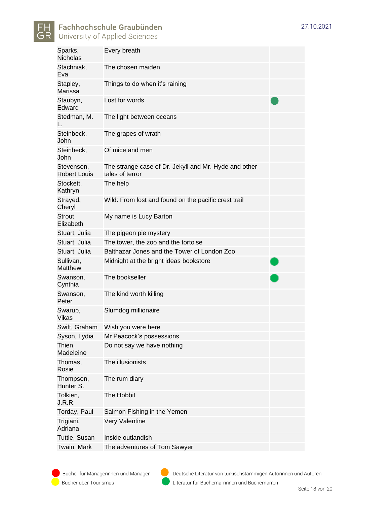



| Sparks,<br><b>Nicholas</b>        | Every breath                                                             |  |
|-----------------------------------|--------------------------------------------------------------------------|--|
| Stachniak,<br>Eva                 | The chosen maiden                                                        |  |
| Stapley,<br>Marissa               | Things to do when it's raining                                           |  |
| Staubyn,<br>Edward                | Lost for words                                                           |  |
| Stedman, M.<br>L.                 | The light between oceans                                                 |  |
| Steinbeck,<br>John                | The grapes of wrath                                                      |  |
| Steinbeck,<br>John                | Of mice and men                                                          |  |
| Stevenson,<br><b>Robert Louis</b> | The strange case of Dr. Jekyll and Mr. Hyde and other<br>tales of terror |  |
| Stockett,<br>Kathryn              | The help                                                                 |  |
| Strayed,<br>Cheryl                | Wild: From lost and found on the pacific crest trail                     |  |
| Strout.<br>Elizabeth              | My name is Lucy Barton                                                   |  |
| Stuart, Julia                     | The pigeon pie mystery                                                   |  |
| Stuart, Julia                     | The tower, the zoo and the tortoise                                      |  |
| Stuart, Julia                     | Balthazar Jones and the Tower of London Zoo                              |  |
| Sullivan,<br>Matthew              | Midnight at the bright ideas bookstore                                   |  |
| Swanson,<br>Cynthia               | The bookseller                                                           |  |
| Swanson,<br>Peter                 | The kind worth killing                                                   |  |
| Swarup,<br>Vikas                  | Slumdog millionaire                                                      |  |
| Swift, Graham                     | Wish you were here                                                       |  |
| Syson, Lydia                      | Mr Peacock's possessions                                                 |  |
| Thien,<br>Madeleine               | Do not say we have nothing                                               |  |
| Thomas,<br>Rosie                  | The illusionists                                                         |  |
| Thompson,<br>Hunter S.            | The rum diary                                                            |  |
| Tolkien,<br>J.R.R.                | The Hobbit                                                               |  |
| Torday, Paul                      | Salmon Fishing in the Yemen                                              |  |
| Trigiani,<br>Adriana              | Very Valentine                                                           |  |
| Tuttle, Susan                     | Inside outlandish                                                        |  |
| Twain, Mark                       | The adventures of Tom Sawyer                                             |  |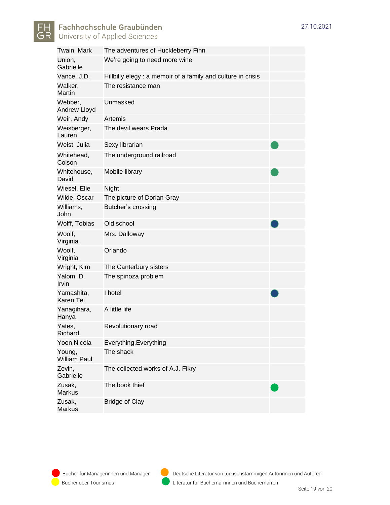



| Twain, Mark                    | The adventures of Huckleberry Finn                          |
|--------------------------------|-------------------------------------------------------------|
| Union,<br>Gabrielle            | We're going to need more wine                               |
| Vance, J.D.                    | Hillbilly elegy: a memoir of a family and culture in crisis |
| Walker,<br>Martin              | The resistance man                                          |
| Webber,<br><b>Andrew Lloyd</b> | Unmasked                                                    |
| Weir, Andy                     | Artemis                                                     |
| Weisberger,<br>Lauren          | The devil wears Prada                                       |
| Weist, Julia                   | Sexy librarian                                              |
| Whitehead,<br>Colson           | The underground railroad                                    |
| Whitehouse,<br>David           | Mobile library                                              |
| Wiesel, Elie                   | Night                                                       |
| Wilde, Oscar                   | The picture of Dorian Gray                                  |
| Williams,<br>John              | Butcher's crossing                                          |
| Wolff, Tobias                  | Old school                                                  |
| Woolf,<br>Virginia             | Mrs. Dalloway                                               |
| Woolf,<br>Virginia             | Orlando                                                     |
| Wright, Kim                    | The Canterbury sisters                                      |
| Yalom, D.<br>Irvin             | The spinoza problem                                         |
| Yamashita,<br>Karen Tei        | I hotel                                                     |
| Yanagihara,<br>Hanya           | A little life                                               |
| Yates,<br>Richard              | Revolutionary road                                          |
| Yoon, Nicola                   | Everything, Everything                                      |
| Young,<br><b>William Paul</b>  | The shack                                                   |
| Zevin,<br>Gabrielle            | The collected works of A.J. Fikry                           |
| Zusak,<br><b>Markus</b>        | The book thief                                              |
| Zusak,<br>Markus               | <b>Bridge of Clay</b>                                       |